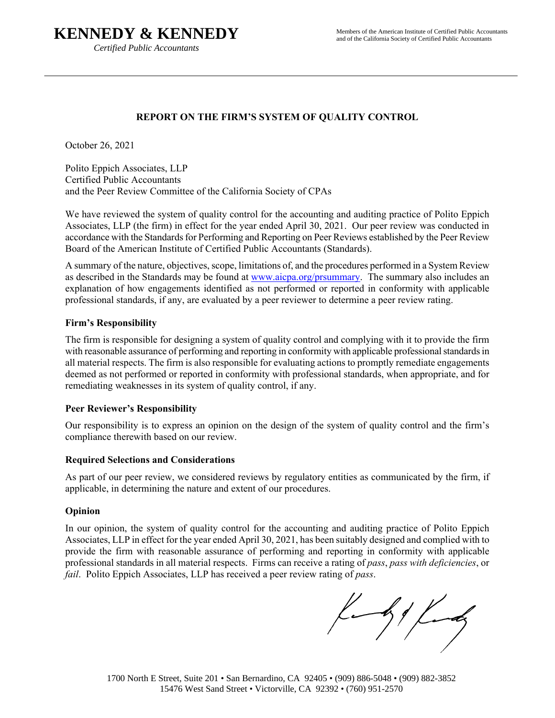# **KENNEDY & KENNEDY**

*Certified Public Accountants* 

## **REPORT ON THE FIRM'S SYSTEM OF QUALITY CONTROL**

October 26, 2021

Polito Eppich Associates, LLP Certified Public Accountants and the Peer Review Committee of the California Society of CPAs

We have reviewed the system of quality control for the accounting and auditing practice of Polito Eppich Associates, LLP (the firm) in effect for the year ended April 30, 2021. Our peer review was conducted in accordance with the Standards for Performing and Reporting on Peer Reviews established by the Peer Review Board of the American Institute of Certified Public Accountants (Standards).

A summary of the nature, objectives, scope, limitations of, and the procedures performed in a System Review as described in the Standards may be found at www.aicpa.org/prsummary. The summary also includes an explanation of how engagements identified as not performed or reported in conformity with applicable professional standards, if any, are evaluated by a peer reviewer to determine a peer review rating.

#### **Firm's Responsibility**

The firm is responsible for designing a system of quality control and complying with it to provide the firm with reasonable assurance of performing and reporting in conformity with applicable professional standards in all material respects. The firm is also responsible for evaluating actions to promptly remediate engagements deemed as not performed or reported in conformity with professional standards, when appropriate, and for remediating weaknesses in its system of quality control, if any.

## **Peer Reviewer's Responsibility**

Our responsibility is to express an opinion on the design of the system of quality control and the firm's compliance therewith based on our review.

#### **Required Selections and Considerations**

As part of our peer review, we considered reviews by regulatory entities as communicated by the firm, if applicable, in determining the nature and extent of our procedures.

## **Opinion**

In our opinion, the system of quality control for the accounting and auditing practice of Polito Eppich Associates, LLP in effect for the year ended April 30, 2021, has been suitably designed and complied with to provide the firm with reasonable assurance of performing and reporting in conformity with applicable professional standards in all material respects. Firms can receive a rating of *pass*, *pass with deficiencies*, or *fail*. Polito Eppich Associates, LLP has received a peer review rating of *pass*.

by Lundy